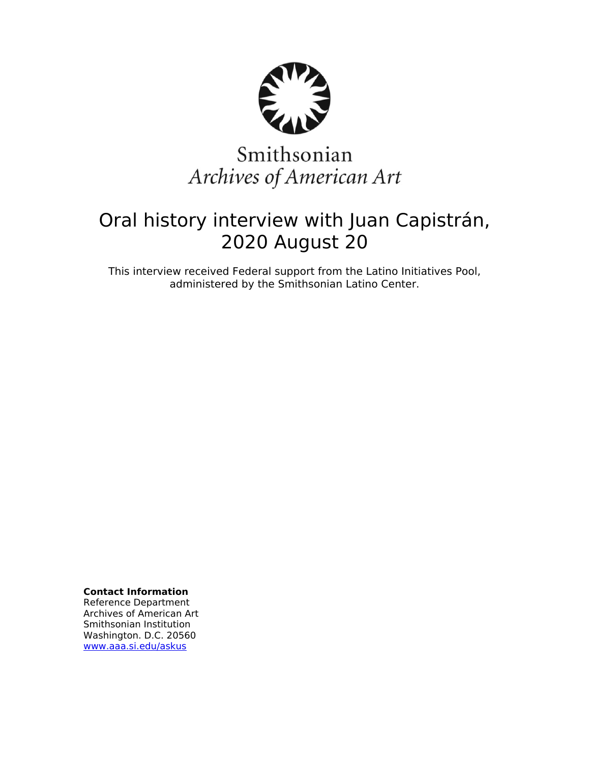

# Smithsonian Archives of American Art

## Oral history interview with Juan Capistrán, 2020 August 20

This interview received Federal support from the Latino Initiatives Pool, administered by the Smithsonian Latino Center.

**Contact Information**

Reference Department Archives of American Art Smithsonian Institution Washington. D.C. 20560 [www.aaa.si.edu/askus](http://www.aaa.si.edu/askus)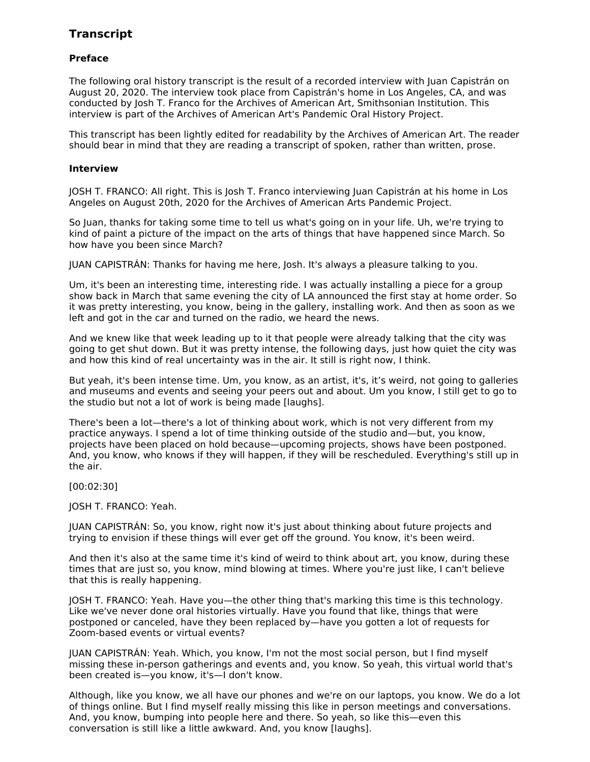### **Transcript**

#### **Preface**

The following oral history transcript is the result of a recorded interview with Juan Capistrán on August 20, 2020. The interview took place from Capistrán's home in Los Angeles, CA, and was conducted by Josh T. Franco for the Archives of American Art, Smithsonian Institution. This interview is part of the Archives of American Art's Pandemic Oral History Project.

This transcript has been lightly edited for readability by the Archives of American Art. The reader should bear in mind that they are reading a transcript of spoken, rather than written, prose.

#### **Interview**

JOSH T. FRANCO: All right. This is Josh T. Franco interviewing Juan Capistrán at his home in Los Angeles on August 20th, 2020 for the Archives of American Arts Pandemic Project.

So Juan, thanks for taking some time to tell us what's going on in your life. Uh, we're trying to kind of paint a picture of the impact on the arts of things that have happened since March. So how have you been since March?

JUAN CAPISTRÁN: Thanks for having me here, Josh. It's always a pleasure talking to you.

Um, it's been an interesting time, interesting ride. I was actually installing a piece for a group show back in March that same evening the city of LA announced the first stay at home order. So it was pretty interesting, you know, being in the gallery, installing work. And then as soon as we left and got in the car and turned on the radio, we heard the news.

And we knew like that week leading up to it that people were already talking that the city was going to get shut down. But it was pretty intense, the following days, just how quiet the city was and how this kind of real uncertainty was in the air. It still is right now, I think.

But yeah, it's been intense time. Um, you know, as an artist, it's, it's weird, not going to galleries and museums and events and seeing your peers out and about. Um you know, I still get to go to the studio but not a lot of work is being made [laughs].

There's been a lot—there's a lot of thinking about work, which is not very different from my practice anyways. I spend a lot of time thinking outside of the studio and—but, you know, projects have been placed on hold because—upcoming projects, shows have been postponed. And, you know, who knows if they will happen, if they will be rescheduled. Everything's still up in the air.

[00:02:30]

#### JOSH T. FRANCO: Yeah.

JUAN CAPISTRÁN: So, you know, right now it's just about thinking about future projects and trying to envision if these things will ever get off the ground. You know, it's been weird.

And then it's also at the same time it's kind of weird to think about art, you know, during these times that are just so, you know, mind blowing at times. Where you're just like, I can't believe that this is really happening.

JOSH T. FRANCO: Yeah. Have you—the other thing that's marking this time is this technology. Like we've never done oral histories virtually. Have you found that like, things that were postponed or canceled, have they been replaced by—have you gotten a lot of requests for Zoom-based events or virtual events?

JUAN CAPISTRÁN: Yeah. Which, you know, I'm not the most social person, but I find myself missing these in-person gatherings and events and, you know. So yeah, this virtual world that's been created is—you know, it's—I don't know.

Although, like you know, we all have our phones and we're on our laptops, you know. We do a lot of things online. But I find myself really missing this like in person meetings and conversations. And, you know, bumping into people here and there. So yeah, so like this—even this conversation is still like a little awkward. And, you know [laughs].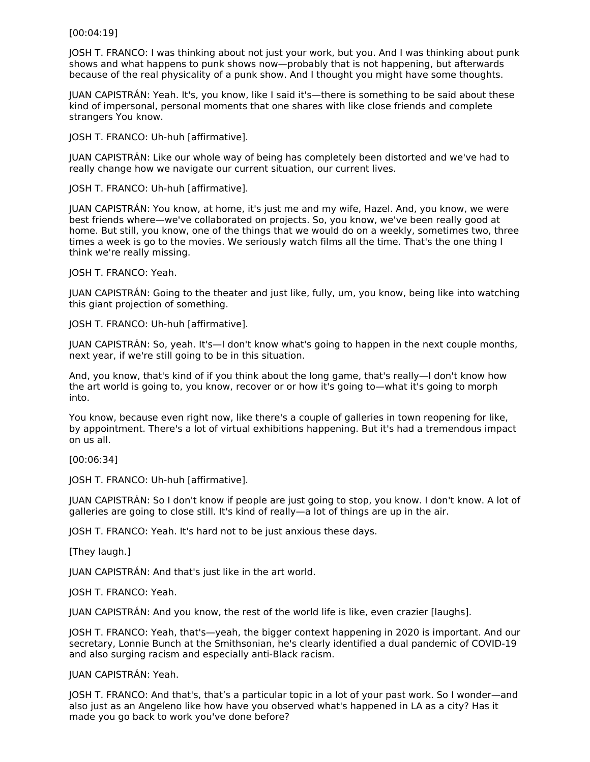[00:04:19]

JOSH T. FRANCO: I was thinking about not just your work, but you. And I was thinking about punk shows and what happens to punk shows now—probably that is not happening, but afterwards because of the real physicality of a punk show. And I thought you might have some thoughts.

JUAN CAPISTRÁN: Yeah. It's, you know, like I said it's—there is something to be said about these kind of impersonal, personal moments that one shares with like close friends and complete strangers You know.

JOSH T. FRANCO: Uh-huh [affirmative].

JUAN CAPISTRÁN: Like our whole way of being has completely been distorted and we've had to really change how we navigate our current situation, our current lives.

JOSH T. FRANCO: Uh-huh [affirmative].

JUAN CAPISTRÁN: You know, at home, it's just me and my wife, Hazel. And, you know, we were best friends where—we've collaborated on projects. So, you know, we've been really good at home. But still, you know, one of the things that we would do on a weekly, sometimes two, three times a week is go to the movies. We seriously watch films all the time. That's the one thing I think we're really missing.

JOSH T. FRANCO: Yeah.

JUAN CAPISTRÁN: Going to the theater and just like, fully, um, you know, being like into watching this giant projection of something.

JOSH T. FRANCO: Uh-huh [affirmative].

JUAN CAPISTRÁN: So, yeah. It's—I don't know what's going to happen in the next couple months, next year, if we're still going to be in this situation.

And, you know, that's kind of if you think about the long game, that's really—I don't know how the art world is going to, you know, recover or or how it's going to—what it's going to morph into.

You know, because even right now, like there's a couple of galleries in town reopening for like, by appointment. There's a lot of virtual exhibitions happening. But it's had a tremendous impact on us all.

[00:06:34]

JOSH T. FRANCO: Uh-huh [affirmative].

JUAN CAPISTRÁN: So I don't know if people are just going to stop, you know. I don't know. A lot of galleries are going to close still. It's kind of really—a lot of things are up in the air.

JOSH T. FRANCO: Yeah. It's hard not to be just anxious these days.

[They laugh.]

JUAN CAPISTRÁN: And that's just like in the art world.

JOSH T. FRANCO: Yeah.

JUAN CAPISTRÁN: And you know, the rest of the world life is like, even crazier [laughs].

JOSH T. FRANCO: Yeah, that's—yeah, the bigger context happening in 2020 is important. And our secretary, Lonnie Bunch at the Smithsonian, he's clearly identified a dual pandemic of COVID-19 and also surging racism and especially anti-Black racism.

JUAN CAPISTRÁN: Yeah.

JOSH T. FRANCO: And that's, that's a particular topic in a lot of your past work. So I wonder—and also just as an Angeleno like how have you observed what's happened in LA as a city? Has it made you go back to work you've done before?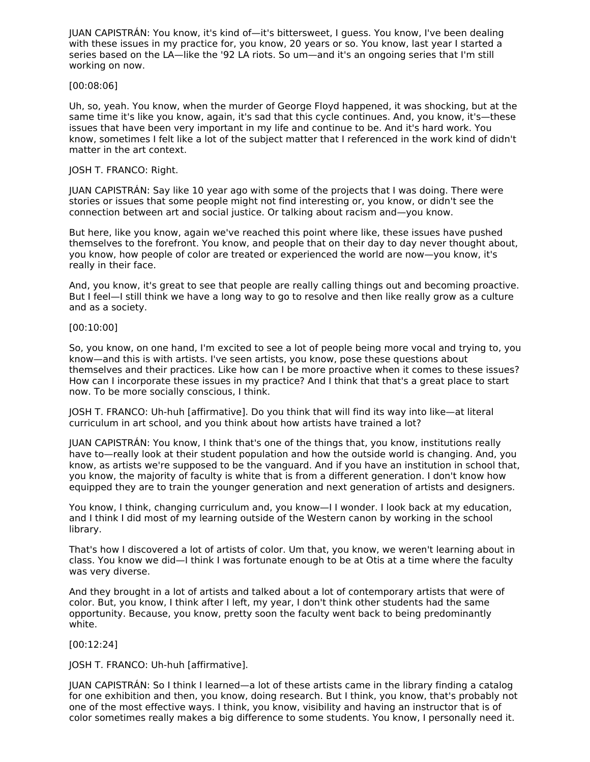JUAN CAPISTRÁN: You know, it's kind of—it's bittersweet, I guess. You know, I've been dealing with these issues in my practice for, you know, 20 years or so. You know, last year I started a series based on the LA—like the '92 LA riots. So um—and it's an ongoing series that I'm still working on now.

#### [00:08:06]

Uh, so, yeah. You know, when the murder of George Floyd happened, it was shocking, but at the same time it's like you know, again, it's sad that this cycle continues. And, you know, it's—these issues that have been very important in my life and continue to be. And it's hard work. You know, sometimes I felt like a lot of the subject matter that I referenced in the work kind of didn't matter in the art context.

#### JOSH T. FRANCO: Right.

JUAN CAPISTRÁN: Say like 10 year ago with some of the projects that I was doing. There were stories or issues that some people might not find interesting or, you know, or didn't see the connection between art and social justice. Or talking about racism and—you know.

But here, like you know, again we've reached this point where like, these issues have pushed themselves to the forefront. You know, and people that on their day to day never thought about, you know, how people of color are treated or experienced the world are now—you know, it's really in their face.

And, you know, it's great to see that people are really calling things out and becoming proactive. But I feel—I still think we have a long way to go to resolve and then like really grow as a culture and as a society.

#### [00:10:00]

So, you know, on one hand, I'm excited to see a lot of people being more vocal and trying to, you know—and this is with artists. I've seen artists, you know, pose these questions about themselves and their practices. Like how can I be more proactive when it comes to these issues? How can I incorporate these issues in my practice? And I think that that's a great place to start now. To be more socially conscious, I think.

JOSH T. FRANCO: Uh-huh [affirmative]. Do you think that will find its way into like—at literal curriculum in art school, and you think about how artists have trained a lot?

JUAN CAPISTRÁN: You know, I think that's one of the things that, you know, institutions really have to—really look at their student population and how the outside world is changing. And, you know, as artists we're supposed to be the vanguard. And if you have an institution in school that, you know, the majority of faculty is white that is from a different generation. I don't know how equipped they are to train the younger generation and next generation of artists and designers.

You know, I think, changing curriculum and, you know—I I wonder. I look back at my education, and I think I did most of my learning outside of the Western canon by working in the school library.

That's how I discovered a lot of artists of color. Um that, you know, we weren't learning about in class. You know we did—I think I was fortunate enough to be at Otis at a time where the faculty was very diverse.

And they brought in a lot of artists and talked about a lot of contemporary artists that were of color. But, you know, I think after I left, my year, I don't think other students had the same opportunity. Because, you know, pretty soon the faculty went back to being predominantly white.

#### [00:12:24]

JOSH T. FRANCO: Uh-huh [affirmative].

JUAN CAPISTRÁN: So I think I learned—a lot of these artists came in the library finding a catalog for one exhibition and then, you know, doing research. But I think, you know, that's probably not one of the most effective ways. I think, you know, visibility and having an instructor that is of color sometimes really makes a big difference to some students. You know, I personally need it.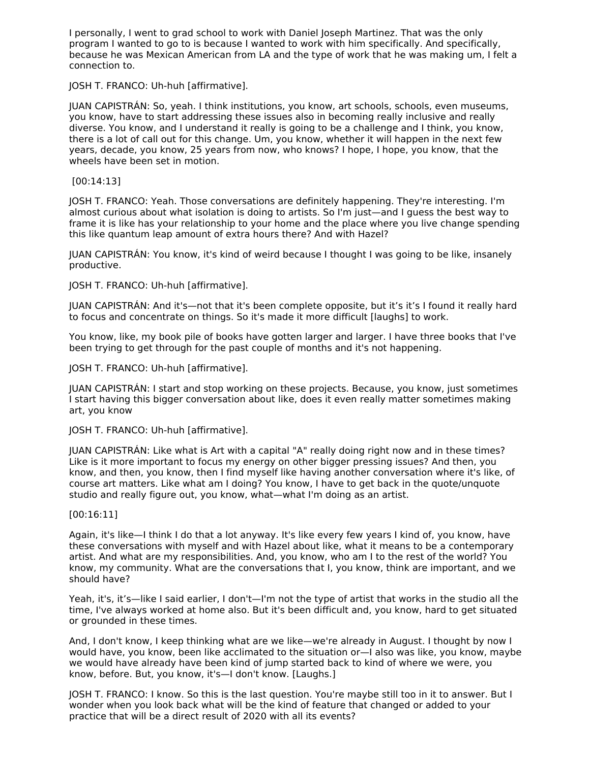I personally, I went to grad school to work with Daniel Joseph Martinez. That was the only program I wanted to go to is because I wanted to work with him specifically. And specifically, because he was Mexican American from LA and the type of work that he was making um, I felt a connection to.

JOSH T. FRANCO: Uh-huh [affirmative].

JUAN CAPISTRÁN: So, yeah. I think institutions, you know, art schools, schools, even museums, you know, have to start addressing these issues also in becoming really inclusive and really diverse. You know, and I understand it really is going to be a challenge and I think, you know, there is a lot of call out for this change. Um, you know, whether it will happen in the next few years, decade, you know, 25 years from now, who knows? I hope, I hope, you know, that the wheels have been set in motion.

[00:14:13]

JOSH T. FRANCO: Yeah. Those conversations are definitely happening. They're interesting. I'm almost curious about what isolation is doing to artists. So I'm just—and I guess the best way to frame it is like has your relationship to your home and the place where you live change spending this like quantum leap amount of extra hours there? And with Hazel?

JUAN CAPISTRÁN: You know, it's kind of weird because I thought I was going to be like, insanely productive.

JOSH T. FRANCO: Uh-huh [affirmative].

JUAN CAPISTRÁN: And it's—not that it's been complete opposite, but it's it's I found it really hard to focus and concentrate on things. So it's made it more difficult [laughs] to work.

You know, like, my book pile of books have gotten larger and larger. I have three books that I've been trying to get through for the past couple of months and it's not happening.

JOSH T. FRANCO: Uh-huh [affirmative].

JUAN CAPISTRÁN: I start and stop working on these projects. Because, you know, just sometimes I start having this bigger conversation about like, does it even really matter sometimes making art, you know

JOSH T. FRANCO: Uh-huh [affirmative].

JUAN CAPISTRÁN: Like what is Art with a capital "A" really doing right now and in these times? Like is it more important to focus my energy on other bigger pressing issues? And then, you know, and then, you know, then I find myself like having another conversation where it's like, of course art matters. Like what am I doing? You know, I have to get back in the quote/unquote studio and really figure out, you know, what—what I'm doing as an artist.

[00:16:11]

Again, it's like—I think I do that a lot anyway. It's like every few years I kind of, you know, have these conversations with myself and with Hazel about like, what it means to be a contemporary artist. And what are my responsibilities. And, you know, who am I to the rest of the world? You know, my community. What are the conversations that I, you know, think are important, and we should have?

Yeah, it's, it's—like I said earlier, I don't—I'm not the type of artist that works in the studio all the time, I've always worked at home also. But it's been difficult and, you know, hard to get situated or grounded in these times.

And, I don't know, I keep thinking what are we like—we're already in August. I thought by now I would have, you know, been like acclimated to the situation or—I also was like, you know, maybe we would have already have been kind of jump started back to kind of where we were, you know, before. But, you know, it's—I don't know. [Laughs.]

JOSH T. FRANCO: I know. So this is the last question. You're maybe still too in it to answer. But I wonder when you look back what will be the kind of feature that changed or added to your practice that will be a direct result of 2020 with all its events?